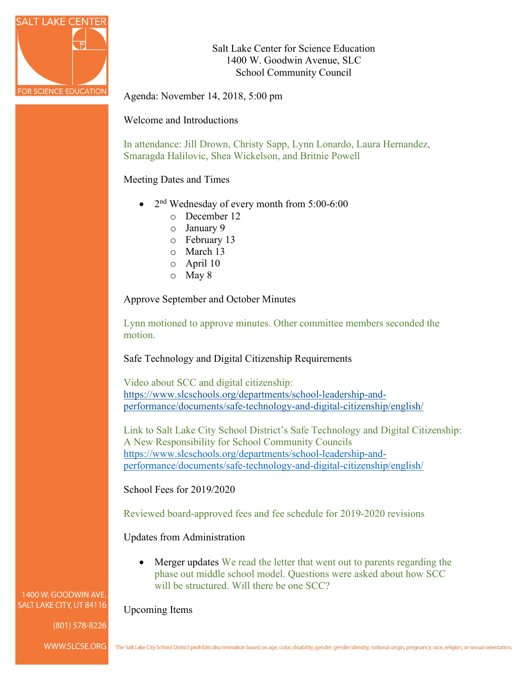

Salt Lake Center for Science Education 1400 W. Goodwin Avenue, SLC School Community Council

Agenda: November 14, 2018, 5:00 pm

Welcome and Introductions

In attendance: Jill Drown, Christy Sapp, Lynn Lonardo, Laura Hernandez, Smaragda Halilovic, Shea Wickelson, and Britnie Powell

Meeting Dates and Times

- $2<sup>nd</sup>$  Wednesday of every month from 5:00-6:00
	- o December 12
	- o January 9
	- o February 13
	- o March 13
	- o April 10
	- o May 8

Approve September and October Minutes

Lynn motioned to approve minutes. Other committee members seconded the motion.

Safe Technology and Digital Citizenship Requirements

Video about SCC and digital citizenship: [https://www.slcschools.org/departments/school-leadership-and](https://www.slcschools.org/departments/school-leadership-and-performance/documents/safe-technology-and-digital-citizenship/english/)[performance/documents/safe-technology-and-digital-citizenship/english/](https://www.slcschools.org/departments/school-leadership-and-performance/documents/safe-technology-and-digital-citizenship/english/)

Link to Salt Lake City School District's Safe Technology and Digital Citizenship: A New Responsibility for School Community Councils [https://www.slcschools.org/departments/school-leadership-and](https://www.slcschools.org/departments/school-leadership-and-performance/documents/safe-technology-and-digital-citizenship/english/)[performance/documents/safe-technology-and-digital-citizenship/english/](https://www.slcschools.org/departments/school-leadership-and-performance/documents/safe-technology-and-digital-citizenship/english/)

School Fees for 2019/2020

Reviewed board-approved fees and fee schedule for 2019-2020 revisions

Updates from Administration

• Merger updates We read the letter that went out to parents regarding the phase out middle school model. Questions were asked about how SCC will be structured. Will there be one SCC?

Upcoming Items

1400 W. GOODWIN AVE SALT LAKE CITY, UT 84116

(801) 578-8226

WWW.SLCSE.ORG